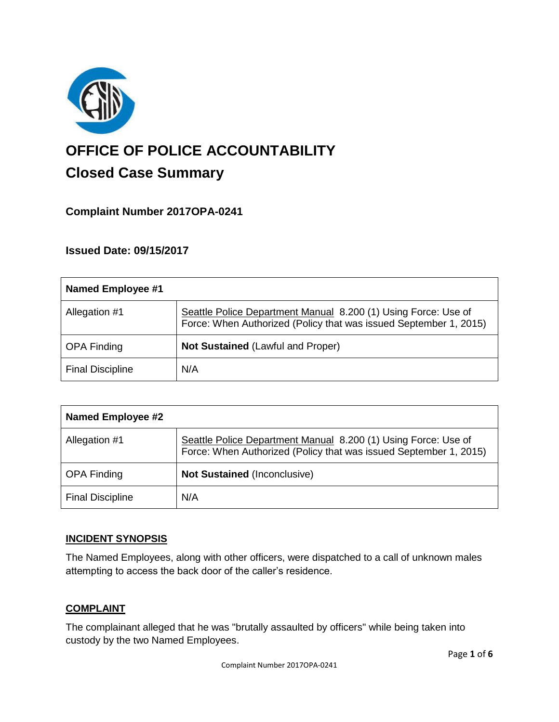

# **OFFICE OF POLICE ACCOUNTABILITY**

# **Closed Case Summary**

## **Complaint Number 2017OPA-0241**

### **Issued Date: 09/15/2017**

| <b>Named Employee #1</b> |                                                                                                                                     |
|--------------------------|-------------------------------------------------------------------------------------------------------------------------------------|
| Allegation #1            | Seattle Police Department Manual 8.200 (1) Using Force: Use of<br>Force: When Authorized (Policy that was issued September 1, 2015) |
| <b>OPA Finding</b>       | <b>Not Sustained (Lawful and Proper)</b>                                                                                            |
| <b>Final Discipline</b>  | N/A                                                                                                                                 |

| <b>Named Employee #2</b> |                                                                                                                                     |
|--------------------------|-------------------------------------------------------------------------------------------------------------------------------------|
| Allegation #1            | Seattle Police Department Manual 8.200 (1) Using Force: Use of<br>Force: When Authorized (Policy that was issued September 1, 2015) |
| <b>OPA Finding</b>       | <b>Not Sustained (Inconclusive)</b>                                                                                                 |
| <b>Final Discipline</b>  | N/A                                                                                                                                 |

#### **INCIDENT SYNOPSIS**

The Named Employees, along with other officers, were dispatched to a call of unknown males attempting to access the back door of the caller's residence.

#### **COMPLAINT**

The complainant alleged that he was "brutally assaulted by officers" while being taken into custody by the two Named Employees.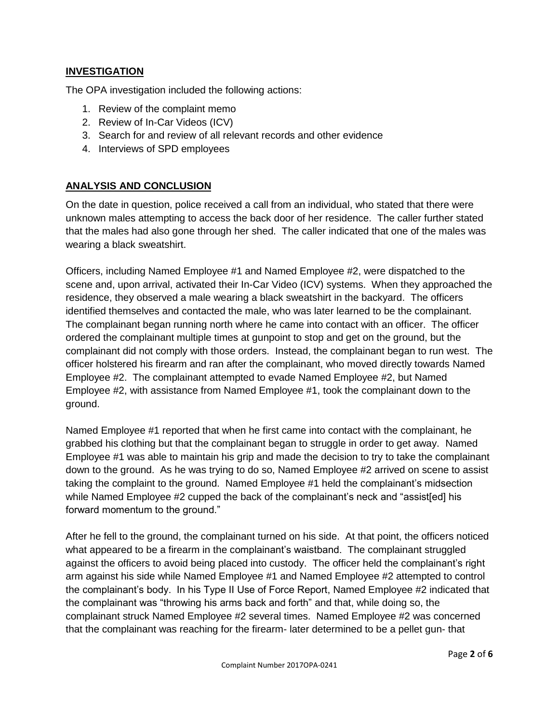#### **INVESTIGATION**

The OPA investigation included the following actions:

- 1. Review of the complaint memo
- 2. Review of In-Car Videos (ICV)
- 3. Search for and review of all relevant records and other evidence
- 4. Interviews of SPD employees

#### **ANALYSIS AND CONCLUSION**

On the date in question, police received a call from an individual, who stated that there were unknown males attempting to access the back door of her residence. The caller further stated that the males had also gone through her shed. The caller indicated that one of the males was wearing a black sweatshirt.

Officers, including Named Employee #1 and Named Employee #2, were dispatched to the scene and, upon arrival, activated their In-Car Video (ICV) systems. When they approached the residence, they observed a male wearing a black sweatshirt in the backyard. The officers identified themselves and contacted the male, who was later learned to be the complainant. The complainant began running north where he came into contact with an officer. The officer ordered the complainant multiple times at gunpoint to stop and get on the ground, but the complainant did not comply with those orders. Instead, the complainant began to run west. The officer holstered his firearm and ran after the complainant, who moved directly towards Named Employee #2. The complainant attempted to evade Named Employee #2, but Named Employee #2, with assistance from Named Employee #1, took the complainant down to the ground.

Named Employee #1 reported that when he first came into contact with the complainant, he grabbed his clothing but that the complainant began to struggle in order to get away. Named Employee #1 was able to maintain his grip and made the decision to try to take the complainant down to the ground. As he was trying to do so, Named Employee #2 arrived on scene to assist taking the complaint to the ground. Named Employee #1 held the complainant's midsection while Named Employee #2 cupped the back of the complainant's neck and "assist[ed] his forward momentum to the ground."

After he fell to the ground, the complainant turned on his side. At that point, the officers noticed what appeared to be a firearm in the complainant's waistband. The complainant struggled against the officers to avoid being placed into custody. The officer held the complainant's right arm against his side while Named Employee #1 and Named Employee #2 attempted to control the complainant's body. In his Type II Use of Force Report, Named Employee #2 indicated that the complainant was "throwing his arms back and forth" and that, while doing so, the complainant struck Named Employee #2 several times. Named Employee #2 was concerned that the complainant was reaching for the firearm- later determined to be a pellet gun- that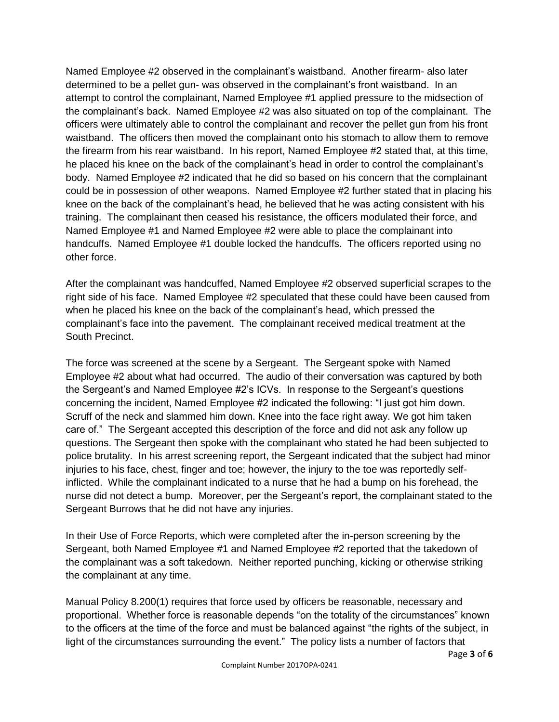Named Employee #2 observed in the complainant's waistband. Another firearm- also later determined to be a pellet gun- was observed in the complainant's front waistband. In an attempt to control the complainant, Named Employee #1 applied pressure to the midsection of the complainant's back. Named Employee #2 was also situated on top of the complainant. The officers were ultimately able to control the complainant and recover the pellet gun from his front waistband. The officers then moved the complainant onto his stomach to allow them to remove the firearm from his rear waistband. In his report, Named Employee #2 stated that, at this time, he placed his knee on the back of the complainant's head in order to control the complainant's body. Named Employee #2 indicated that he did so based on his concern that the complainant could be in possession of other weapons. Named Employee #2 further stated that in placing his knee on the back of the complainant's head, he believed that he was acting consistent with his training. The complainant then ceased his resistance, the officers modulated their force, and Named Employee #1 and Named Employee #2 were able to place the complainant into handcuffs. Named Employee #1 double locked the handcuffs. The officers reported using no other force.

After the complainant was handcuffed, Named Employee #2 observed superficial scrapes to the right side of his face. Named Employee #2 speculated that these could have been caused from when he placed his knee on the back of the complainant's head, which pressed the complainant's face into the pavement. The complainant received medical treatment at the South Precinct.

The force was screened at the scene by a Sergeant. The Sergeant spoke with Named Employee #2 about what had occurred. The audio of their conversation was captured by both the Sergeant's and Named Employee #2's ICVs. In response to the Sergeant's questions concerning the incident, Named Employee #2 indicated the following: "I just got him down. Scruff of the neck and slammed him down. Knee into the face right away. We got him taken care of." The Sergeant accepted this description of the force and did not ask any follow up questions. The Sergeant then spoke with the complainant who stated he had been subjected to police brutality. In his arrest screening report, the Sergeant indicated that the subject had minor injuries to his face, chest, finger and toe; however, the injury to the toe was reportedly selfinflicted. While the complainant indicated to a nurse that he had a bump on his forehead, the nurse did not detect a bump. Moreover, per the Sergeant's report, the complainant stated to the Sergeant Burrows that he did not have any injuries.

In their Use of Force Reports, which were completed after the in-person screening by the Sergeant, both Named Employee #1 and Named Employee #2 reported that the takedown of the complainant was a soft takedown. Neither reported punching, kicking or otherwise striking the complainant at any time.

Manual Policy 8.200(1) requires that force used by officers be reasonable, necessary and proportional. Whether force is reasonable depends "on the totality of the circumstances" known to the officers at the time of the force and must be balanced against "the rights of the subject, in light of the circumstances surrounding the event." The policy lists a number of factors that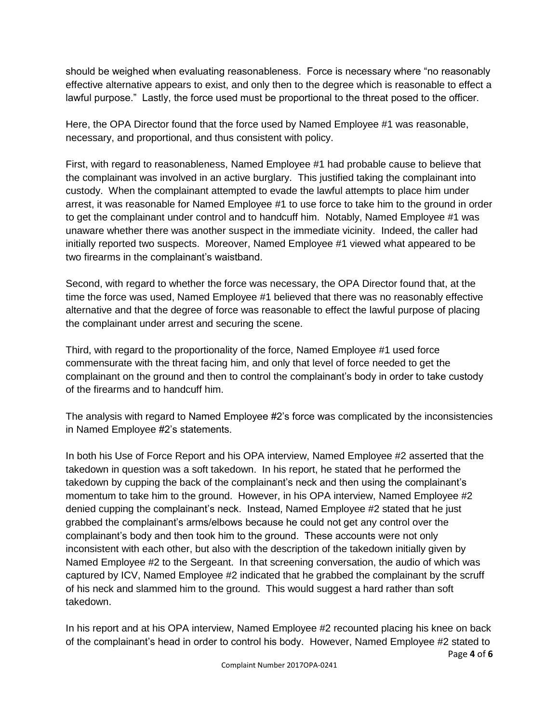should be weighed when evaluating reasonableness. Force is necessary where "no reasonably effective alternative appears to exist, and only then to the degree which is reasonable to effect a lawful purpose." Lastly, the force used must be proportional to the threat posed to the officer.

Here, the OPA Director found that the force used by Named Employee #1 was reasonable, necessary, and proportional, and thus consistent with policy.

First, with regard to reasonableness, Named Employee #1 had probable cause to believe that the complainant was involved in an active burglary. This justified taking the complainant into custody. When the complainant attempted to evade the lawful attempts to place him under arrest, it was reasonable for Named Employee #1 to use force to take him to the ground in order to get the complainant under control and to handcuff him. Notably, Named Employee #1 was unaware whether there was another suspect in the immediate vicinity. Indeed, the caller had initially reported two suspects. Moreover, Named Employee #1 viewed what appeared to be two firearms in the complainant's waistband.

Second, with regard to whether the force was necessary, the OPA Director found that, at the time the force was used, Named Employee #1 believed that there was no reasonably effective alternative and that the degree of force was reasonable to effect the lawful purpose of placing the complainant under arrest and securing the scene.

Third, with regard to the proportionality of the force, Named Employee #1 used force commensurate with the threat facing him, and only that level of force needed to get the complainant on the ground and then to control the complainant's body in order to take custody of the firearms and to handcuff him.

The analysis with regard to Named Employee #2's force was complicated by the inconsistencies in Named Employee #2's statements.

In both his Use of Force Report and his OPA interview, Named Employee #2 asserted that the takedown in question was a soft takedown. In his report, he stated that he performed the takedown by cupping the back of the complainant's neck and then using the complainant's momentum to take him to the ground. However, in his OPA interview, Named Employee #2 denied cupping the complainant's neck. Instead, Named Employee #2 stated that he just grabbed the complainant's arms/elbows because he could not get any control over the complainant's body and then took him to the ground. These accounts were not only inconsistent with each other, but also with the description of the takedown initially given by Named Employee #2 to the Sergeant. In that screening conversation, the audio of which was captured by ICV, Named Employee #2 indicated that he grabbed the complainant by the scruff of his neck and slammed him to the ground. This would suggest a hard rather than soft takedown.

Page **4** of **6** In his report and at his OPA interview, Named Employee #2 recounted placing his knee on back of the complainant's head in order to control his body. However, Named Employee #2 stated to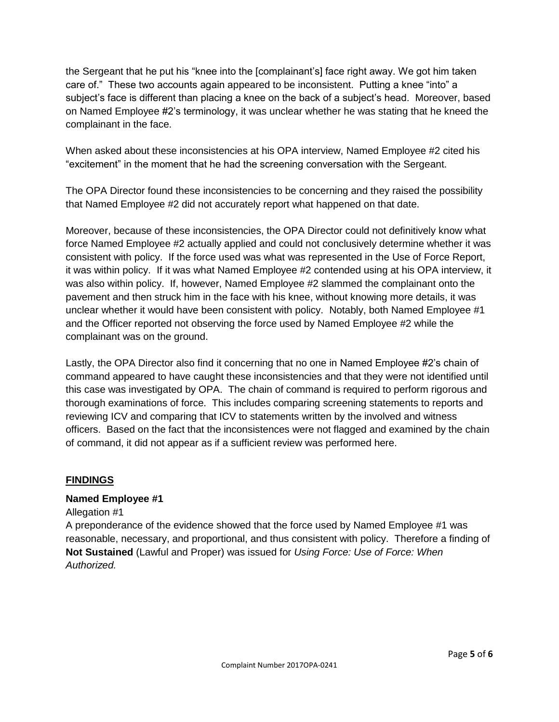the Sergeant that he put his "knee into the [complainant's] face right away. We got him taken care of." These two accounts again appeared to be inconsistent. Putting a knee "into" a subject's face is different than placing a knee on the back of a subject's head. Moreover, based on Named Employee #2's terminology, it was unclear whether he was stating that he kneed the complainant in the face.

When asked about these inconsistencies at his OPA interview, Named Employee #2 cited his "excitement" in the moment that he had the screening conversation with the Sergeant.

The OPA Director found these inconsistencies to be concerning and they raised the possibility that Named Employee #2 did not accurately report what happened on that date.

Moreover, because of these inconsistencies, the OPA Director could not definitively know what force Named Employee #2 actually applied and could not conclusively determine whether it was consistent with policy. If the force used was what was represented in the Use of Force Report, it was within policy. If it was what Named Employee #2 contended using at his OPA interview, it was also within policy. If, however, Named Employee #2 slammed the complainant onto the pavement and then struck him in the face with his knee, without knowing more details, it was unclear whether it would have been consistent with policy. Notably, both Named Employee #1 and the Officer reported not observing the force used by Named Employee #2 while the complainant was on the ground.

Lastly, the OPA Director also find it concerning that no one in Named Employee #2's chain of command appeared to have caught these inconsistencies and that they were not identified until this case was investigated by OPA. The chain of command is required to perform rigorous and thorough examinations of force. This includes comparing screening statements to reports and reviewing ICV and comparing that ICV to statements written by the involved and witness officers. Based on the fact that the inconsistences were not flagged and examined by the chain of command, it did not appear as if a sufficient review was performed here.

#### **FINDINGS**

#### **Named Employee #1**

Allegation #1

A preponderance of the evidence showed that the force used by Named Employee #1 was reasonable, necessary, and proportional, and thus consistent with policy. Therefore a finding of **Not Sustained** (Lawful and Proper) was issued for *Using Force: Use of Force: When Authorized.*